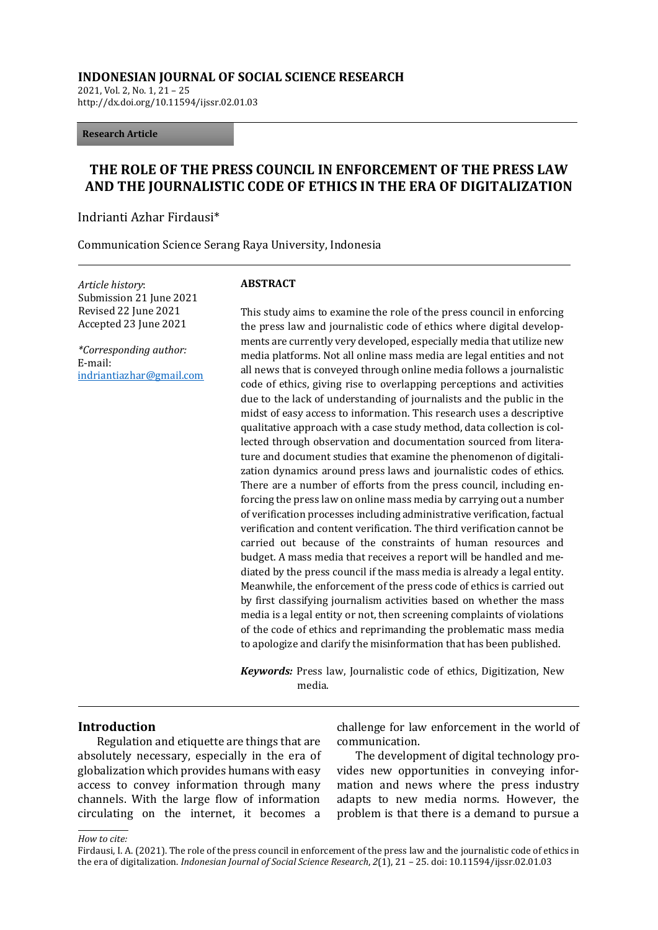#### **INDONESIAN JOURNAL OF SOCIAL SCIENCE RESEARCH**

2021, Vol. 2, No. 1, 21 – 25 http://dx.doi.org/10.11594/ijssr.02.01.03

**Research Article** 

# **THE ROLE OF THE PRESS COUNCIL IN ENFORCEMENT OF THE PRESS LAW AND THE JOURNALISTIC CODE OF ETHICS IN THE ERA OF DIGITALIZATION**

Indrianti Azhar Firdausi\*

Communication Science Serang Raya University, Indonesia

*Article history*: Submission 21 June 2021 Revised 22 June 2021 Accepted 23 June 2021

*\*Corresponding author:* E-mail: [indriantiazhar@gmail.com](mailto:indriantiazhar@gmail.com)

#### **ABSTRACT**

This study aims to examine the role of the press council in enforcing the press law and journalistic code of ethics where digital developments are currently very developed, especially media that utilize new media platforms. Not all online mass media are legal entities and not all news that is conveyed through online media follows a journalistic code of ethics, giving rise to overlapping perceptions and activities due to the lack of understanding of journalists and the public in the midst of easy access to information. This research uses a descriptive qualitative approach with a case study method, data collection is collected through observation and documentation sourced from literature and document studies that examine the phenomenon of digitalization dynamics around press laws and journalistic codes of ethics. There are a number of efforts from the press council, including enforcing the press law on online mass media by carrying out a number of verification processes including administrative verification, factual verification and content verification. The third verification cannot be carried out because of the constraints of human resources and budget. A mass media that receives a report will be handled and mediated by the press council if the mass media is already a legal entity. Meanwhile, the enforcement of the press code of ethics is carried out by first classifying journalism activities based on whether the mass media is a legal entity or not, then screening complaints of violations of the code of ethics and reprimanding the problematic mass media to apologize and clarify the misinformation that has been published.

*Keywords:* Press law, Journalistic code of ethics, Digitization, New media.

#### **Introduction**

Regulation and etiquette are things that are absolutely necessary, especially in the era of globalization which provides humans with easy access to convey information through many channels. With the large flow of information circulating on the internet, it becomes a

challenge for law enforcement in the world of communication.

The development of digital technology provides new opportunities in conveying information and news where the press industry adapts to new media norms. However, the problem is that there is a demand to pursue a

#### *How to cite:*

Firdausi, I. A. (2021). The role of the press council in enforcement of the press law and the journalistic code of ethics in the era of digitalization. *Indonesian Journal of Social Science Research*, *2*(1), 21 – 25. doi: 10.11594/ijssr.02.01.03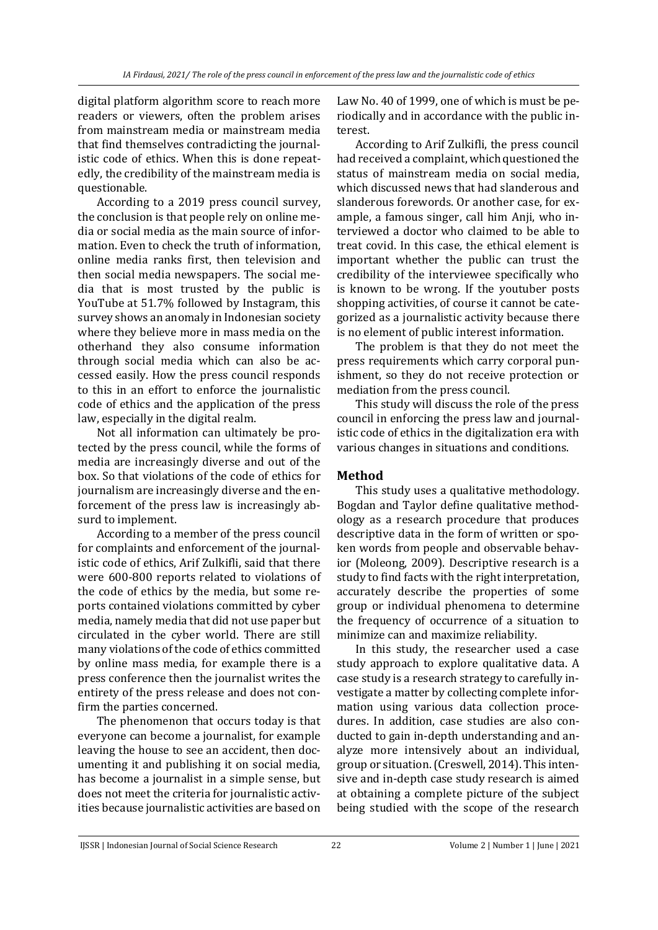digital platform algorithm score to reach more readers or viewers, often the problem arises from mainstream media or mainstream media that find themselves contradicting the journalistic code of ethics. When this is done repeatedly, the credibility of the mainstream media is questionable.

According to a 2019 press council survey, the conclusion is that people rely on online media or social media as the main source of information. Even to check the truth of information, online media ranks first, then television and then social media newspapers. The social media that is most trusted by the public is YouTube at 51.7% followed by Instagram, this survey shows an anomaly in Indonesian society where they believe more in mass media on the otherhand they also consume information through social media which can also be accessed easily. How the press council responds to this in an effort to enforce the journalistic code of ethics and the application of the press law, especially in the digital realm.

Not all information can ultimately be protected by the press council, while the forms of media are increasingly diverse and out of the box. So that violations of the code of ethics for journalism are increasingly diverse and the enforcement of the press law is increasingly absurd to implement.

According to a member of the press council for complaints and enforcement of the journalistic code of ethics, Arif Zulkifli, said that there were 600-800 reports related to violations of the code of ethics by the media, but some reports contained violations committed by cyber media, namely media that did not use paper but circulated in the cyber world. There are still many violations of the code of ethics committed by online mass media, for example there is a press conference then the journalist writes the entirety of the press release and does not confirm the parties concerned.

The phenomenon that occurs today is that everyone can become a journalist, for example leaving the house to see an accident, then documenting it and publishing it on social media, has become a journalist in a simple sense, but does not meet the criteria for journalistic activities because journalistic activities are based on

Law No. 40 of 1999, one of which is must be periodically and in accordance with the public interest.

According to Arif Zulkifli, the press council had received a complaint, which questioned the status of mainstream media on social media, which discussed news that had slanderous and slanderous forewords. Or another case, for example, a famous singer, call him Anji, who interviewed a doctor who claimed to be able to treat covid. In this case, the ethical element is important whether the public can trust the credibility of the interviewee specifically who is known to be wrong. If the youtuber posts shopping activities, of course it cannot be categorized as a journalistic activity because there is no element of public interest information.

The problem is that they do not meet the press requirements which carry corporal punishment, so they do not receive protection or mediation from the press council.

This study will discuss the role of the press council in enforcing the press law and journalistic code of ethics in the digitalization era with various changes in situations and conditions.

## **Method**

This study uses a qualitative methodology. Bogdan and Taylor define qualitative methodology as a research procedure that produces descriptive data in the form of written or spoken words from people and observable behavior (Moleong, 2009). Descriptive research is a study to find facts with the right interpretation, accurately describe the properties of some group or individual phenomena to determine the frequency of occurrence of a situation to minimize can and maximize reliability.

In this study, the researcher used a case study approach to explore qualitative data. A case study is a research strategy to carefully investigate a matter by collecting complete information using various data collection procedures. In addition, case studies are also conducted to gain in-depth understanding and analyze more intensively about an individual, group or situation. (Creswell, 2014). This intensive and in-depth case study research is aimed at obtaining a complete picture of the subject being studied with the scope of the research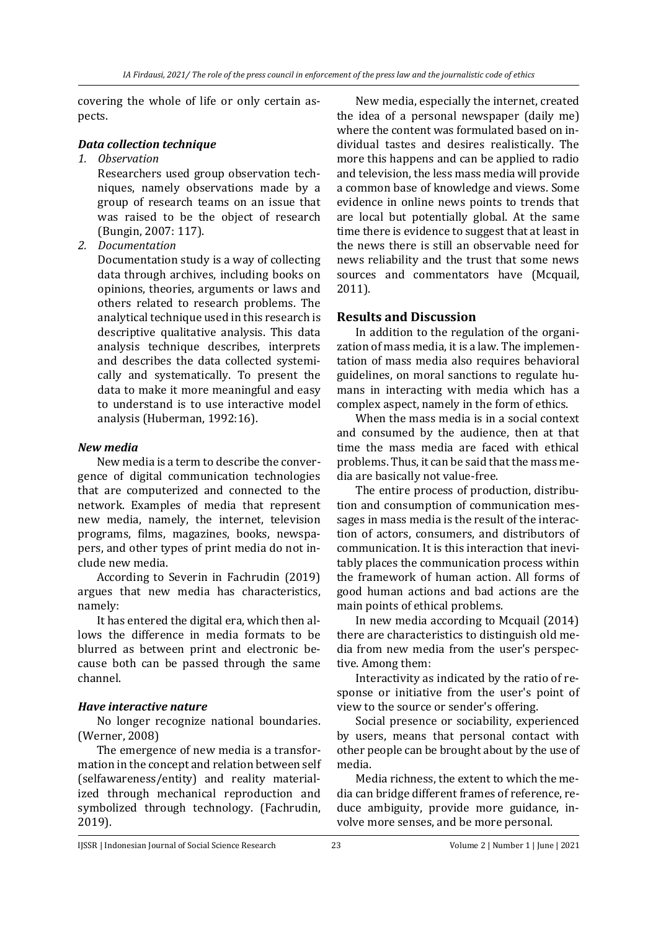covering the whole of life or only certain aspects.

### *Data collection technique*

*1. Observation*

Researchers used group observation techniques, namely observations made by a group of research teams on an issue that was raised to be the object of research (Bungin, 2007: 117).

*2. Documentation*

Documentation study is a way of collecting data through archives, including books on opinions, theories, arguments or laws and others related to research problems. The analytical technique used in this research is descriptive qualitative analysis. This data analysis technique describes, interprets and describes the data collected systemically and systematically. To present the data to make it more meaningful and easy to understand is to use interactive model analysis (Huberman, 1992:16).

## *New media*

New media is a term to describe the convergence of digital communication technologies that are computerized and connected to the network. Examples of media that represent new media, namely, the internet, television programs, films, magazines, books, newspapers, and other types of print media do not include new media.

According to Severin in Fachrudin (2019) argues that new media has characteristics, namely:

It has entered the digital era, which then allows the difference in media formats to be blurred as between print and electronic because both can be passed through the same channel.

## *Have interactive nature*

No longer recognize national boundaries. (Werner, 2008)

The emergence of new media is a transformation in the concept and relation between self (selfawareness/entity) and reality materialized through mechanical reproduction and symbolized through technology. (Fachrudin, 2019).

New media, especially the internet, created the idea of a personal newspaper (daily me) where the content was formulated based on individual tastes and desires realistically. The more this happens and can be applied to radio and television, the less mass media will provide a common base of knowledge and views. Some evidence in online news points to trends that are local but potentially global. At the same time there is evidence to suggest that at least in the news there is still an observable need for news reliability and the trust that some news sources and commentators have (Mcquail, 2011).

## **Results and Discussion**

In addition to the regulation of the organization of mass media, it is a law. The implementation of mass media also requires behavioral guidelines, on moral sanctions to regulate humans in interacting with media which has a complex aspect, namely in the form of ethics.

When the mass media is in a social context and consumed by the audience, then at that time the mass media are faced with ethical problems. Thus, it can be said that the mass media are basically not value-free.

The entire process of production, distribution and consumption of communication messages in mass media is the result of the interaction of actors, consumers, and distributors of communication. It is this interaction that inevitably places the communication process within the framework of human action. All forms of good human actions and bad actions are the main points of ethical problems.

In new media according to Mcquail (2014) there are characteristics to distinguish old media from new media from the user's perspective. Among them:

Interactivity as indicated by the ratio of response or initiative from the user's point of view to the source or sender's offering.

Social presence or sociability, experienced by users, means that personal contact with other people can be brought about by the use of media.

Media richness, the extent to which the media can bridge different frames of reference, reduce ambiguity, provide more guidance, involve more senses, and be more personal.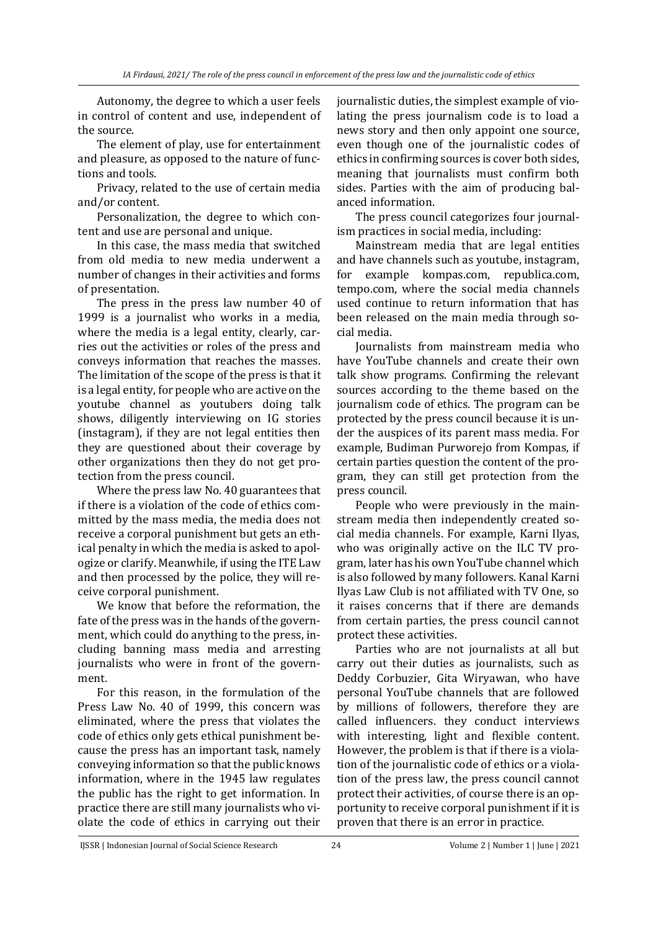Autonomy, the degree to which a user feels in control of content and use, independent of the source.

The element of play, use for entertainment and pleasure, as opposed to the nature of functions and tools.

Privacy, related to the use of certain media and/or content.

Personalization, the degree to which content and use are personal and unique.

In this case, the mass media that switched from old media to new media underwent a number of changes in their activities and forms of presentation.

The press in the press law number 40 of 1999 is a journalist who works in a media, where the media is a legal entity, clearly, carries out the activities or roles of the press and conveys information that reaches the masses. The limitation of the scope of the press is that it is a legal entity, for people who are active on the youtube channel as youtubers doing talk shows, diligently interviewing on IG stories (instagram), if they are not legal entities then they are questioned about their coverage by other organizations then they do not get protection from the press council.

Where the press law No. 40 guarantees that if there is a violation of the code of ethics committed by the mass media, the media does not receive a corporal punishment but gets an ethical penalty in which the media is asked to apologize or clarify. Meanwhile, if using the ITE Law and then processed by the police, they will receive corporal punishment.

We know that before the reformation, the fate of the press was in the hands of the government, which could do anything to the press, including banning mass media and arresting journalists who were in front of the government.

For this reason, in the formulation of the Press Law No. 40 of 1999, this concern was eliminated, where the press that violates the code of ethics only gets ethical punishment because the press has an important task, namely conveying information so that the public knows information, where in the 1945 law regulates the public has the right to get information. In practice there are still many journalists who violate the code of ethics in carrying out their journalistic duties, the simplest example of violating the press journalism code is to load a news story and then only appoint one source, even though one of the journalistic codes of ethics in confirming sources is cover both sides, meaning that journalists must confirm both sides. Parties with the aim of producing balanced information.

The press council categorizes four journalism practices in social media, including:

Mainstream media that are legal entities and have channels such as youtube, instagram, for example kompas.com, republica.com, tempo.com, where the social media channels used continue to return information that has been released on the main media through social media.

Journalists from mainstream media who have YouTube channels and create their own talk show programs. Confirming the relevant sources according to the theme based on the journalism code of ethics. The program can be protected by the press council because it is under the auspices of its parent mass media. For example, Budiman Purworejo from Kompas, if certain parties question the content of the program, they can still get protection from the press council.

People who were previously in the mainstream media then independently created social media channels. For example, Karni Ilyas, who was originally active on the ILC TV program, later has his own YouTube channel which is also followed by many followers. Kanal Karni Ilyas Law Club is not affiliated with TV One, so it raises concerns that if there are demands from certain parties, the press council cannot protect these activities.

Parties who are not journalists at all but carry out their duties as journalists, such as Deddy Corbuzier, Gita Wiryawan, who have personal YouTube channels that are followed by millions of followers, therefore they are called influencers. they conduct interviews with interesting, light and flexible content. However, the problem is that if there is a violation of the journalistic code of ethics or a violation of the press law, the press council cannot protect their activities, of course there is an opportunity to receive corporal punishment if it is proven that there is an error in practice.